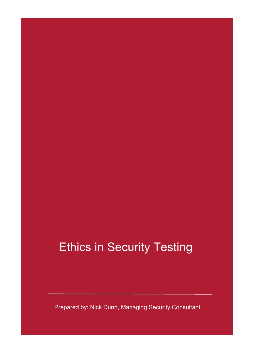### Ethics in Security Testing

Prepared by: Nick Dunn, Managing Security Consultant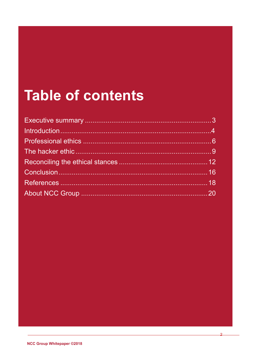## **Table of contents**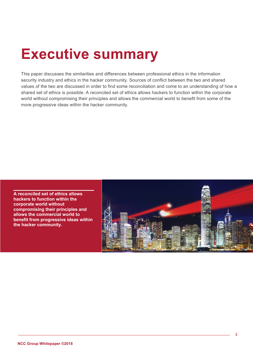### <span id="page-2-0"></span>**Executive summary**

This paper discusses the similarities and differences between professional ethics in the information security industry and ethics in the hacker community. Sources of conflict between the two and shared values of the two are discussed in order to find some reconciliation and come to an understanding of how a shared set of ethics is possible. A reconciled set of ethics allows hackers to function within the corporate world without compromising their principles and allows the commercial world to benefit from some of the more progressive ideas within the hacker community.

**A reconciled set of ethics allows hackers to function within the corporate world without compromising their principles and allows the commercial world to benefit from progressive ideas within the hacker community.**

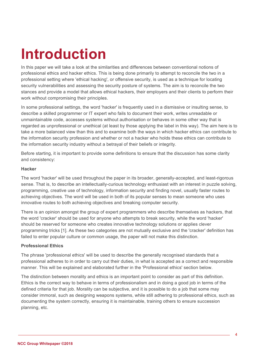# **Introduction**

In this paper we will take a look at the similarities and differences between conventional notions of professional ethics and hacker ethics. This is being done primarily to attempt to reconcile the two in a professional setting where 'ethical hacking', or offensive security, is used as a technique for locating security vulnerabilities and assessing the security posture of systems. The aim is to reconcile the two stances and provide a model that allows ethical hackers, their employers and their clients to perform their work without compromising their principles.

In some professional settings, the word 'hacker' is frequently used in a dismissive or insulting sense, to describe a skilled programmer or IT expert who fails to document their work, writes unreadable or unmaintainable code, accesses systems without authorisation or behaves in some other way that is regarded as unprofessional or unethical (at least by those applying the label in this way). The aim here is to take a more balanced view than this and to examine both the ways in which hacker ethics can contribute to the information security profession and whether or not a hacker who holds these ethics can contribute to the information security industry without a betrayal of their beliefs or integrity.

Before starting, it is important to provide some definitions to ensure that the discussion has some clarity and consistency:

#### **Hacker**

The word 'hacker' will be used throughout the paper in its broader, generally-accepted, and least-rigorous sense. That is, to describe an intellectually-curious technology enthusiast with an interest in puzzle solving, programming, creative use of technology, information security and finding novel, usually faster routes to achieving objectives. The word will be used in both of its popular senses to mean someone who uses innovative routes to both achieving objectives and breaking computer security.

There is an opinion amongst the group of expert programmers who describe themselves as hackers, that the word 'cracker' should be used for anyone who attempts to break security, while the word 'hacker' should be reserved for someone who creates innovative technology solutions or applies clever programming tricks [1]. As these two categories are not mutually exclusive and the 'cracker' definition has failed to enter popular culture or common usage, the paper will not make this distinction.

#### **Professional Ethics**

The phrase 'professional ethics' will be used to describe the generally recognised standards that a professional adheres to in order to carry out their duties, in what is accepted as a correct and responsible manner. This will be explained and elaborated further in the 'Professional ethics' section below.

The distinction between morality and ethics is an important point to consider as part of this definition. Ethics is the correct way to behave in terms of professionalism and in doing a good job in terms of the defined criteria for that job. Morality can be subjective, and it is possible to do a job that some may consider immoral, such as designing weapons systems, while still adhering to professional ethics, such as documenting the system correctly, ensuring it is maintainable, training others to ensure succession planning, etc.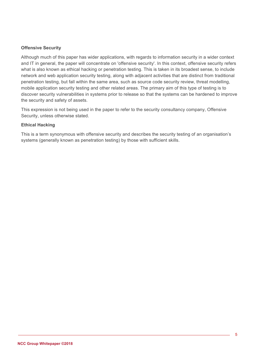#### **Offensive Security**

Although much of this paper has wider applications, with regards to information security in a wider context and IT in general, the paper will concentrate on 'offensive security'. In this context, offensive security refers what is also known as ethical hacking or penetration testing. This is taken in its broadest sense, to include network and web application security testing, along with adjacent activities that are distinct from traditional penetration testing, but fall within the same area, such as source code security review, threat modelling, mobile application security testing and other related areas. The primary aim of this type of testing is to discover security vulnerabilities in systems prior to release so that the systems can be hardened to improve the security and safety of assets.

This expression is not being used in the paper to refer to the security consultancy company, Offensive Security, unless otherwise stated.

#### **Ethical Hacking**

This is a term synonymous with offensive security and describes the security testing of an organisation's systems (generally known as penetration testing) by those with sufficient skills.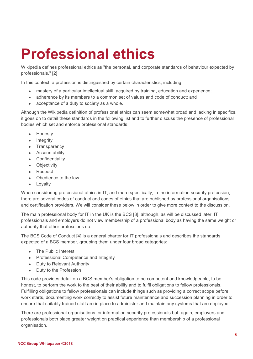# **Professional ethics**

Wikipedia defines professional ethics as "the personal, and corporate standards of behaviour expected by professionals." [2]

In this context, a profession is distinguished by certain characteristics, including:

- mastery of a particular intellectual skill, acquired by training, education and experience;
- adherence by its members to a common set of values and code of conduct; and
- acceptance of a duty to society as a whole.

Although the Wikipedia definition of professional ethics can seem somewhat broad and lacking in specifics, it goes on to detail these standards in the following list and to further discuss the presence of professional bodies which set and enforce professional standards:

- Honesty
- Integrity
- **Transparency**
- **Accountability**
- **Confidentiality**
- Objectivity
- Respect
- Obedience to the law
- Loyalty

When considering professional ethics in IT, and more specifically, in the information security profession, there are several codes of conduct and codes of ethics that are published by professional organisations and certification providers. We will consider these below in order to give more context to the discussion.

The main professional body for IT in the UK is the BCS [3], although, as will be discussed later, IT professionals and employers do not view membership of a professional body as having the same weight or authority that other professions do.

The BCS Code of Conduct [4] is a general charter for IT professionals and describes the standards expected of a BCS member, grouping them under four broad categories:

- The Public Interest
- Professional Competence and Integrity
- Duty to Relevant Authority
- Duty to the Profession

This code provides detail on a BCS member's obligation to be competent and knowledgeable, to be honest, to perform the work to the best of their ability and to fulfil obligations to fellow professionals. Fulfilling obligations to fellow professionals can include things such as providing a correct scope before work starts, documenting work correctly to assist future maintenance and succession planning in order to ensure that suitably trained staff are in place to administer and maintain any systems that are deployed.

There are professional organisations for information security professionals but, again, employers and professionals both place greater weight on practical experience than membership of a professional organisation.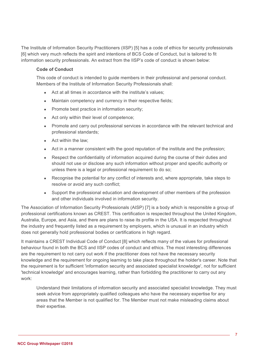The Institute of Information Security Practitioners (IISP) [5] has a code of ethics for security professionals [6] which very much reflects the spirit and intentions of BCS Code of Conduct, but is tailored to fit information security professionals. An extract from the IISP's code of conduct is shown below:

#### **Code of Conduct**

This code of conduct is intended to guide members in their professional and personal conduct. Members of the Institute of Information Security Professionals shall:

- Act at all times in accordance with the institute's values;
- Maintain competency and currency in their respective fields;
- Promote best practice in information security;
- Act only within their level of competence;
- Promote and carry out professional services in accordance with the relevant technical and professional standards;
- Act within the law;
- Act in a manner consistent with the good reputation of the institute and the profession;
- Respect the confidentiality of information acquired during the course of their duties and should not use or disclose any such information without proper and specific authority or unless there is a legal or professional requirement to do so;
- Recognise the potential for any conflict of interests and, where appropriate, take steps to resolve or avoid any such conflict;
- Support the professional education and development of other members of the profession and other individuals involved in information security.

The Association of Information Security Professionals (AISP) [7] is a body which is responsible a group of professional certifications known as CREST. This certification is respected throughout the United Kingdom, Australia, Europe, and Asia, and there are plans to raise its profile in the USA. It is respected throughout the industry and frequently listed as a requirement by employers, which is unusual in an industry which does not generally hold professional bodies or certifications in high regard.

It maintains a CREST Individual Code of Conduct [8] which reflects many of the values for professional behaviour found in both the BCS and IISP codes of conduct and ethics. The most interesting differences are the requirement to not carry out work if the practitioner does not have the necessary security knowledge and the requirement for ongoing learning to take place throughout the holder's career. Note that the requirement is for sufficient 'information security and associated specialist knowledge', not for sufficient 'technical knowledge' and encourages learning, rather than forbidding the practitioner to carry out any work:

Understand their limitations of information security and associated specialist knowledge. They must seek advice from appropriately qualified colleagues who have the necessary expertise for any areas that the Member is not qualified for. The Member must not make misleading claims about their expertise.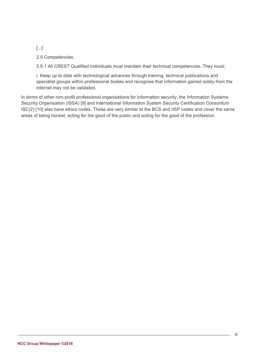[...]

2.5 Competencies

2.5.1 All CREST Qualified Individuals must maintain their technical competencies. They must:

i. Keep up to date with technological advances through training, technical publications and specialist groups within professional bodies and recognise that information gained solely from the internet may not be validated.

In terms of other non-profit professional organisations for information security, the Information Systems Security Organisation (ISSA) [9] and International Information System Security Certification Consortium ISC(2) [10] also have ethics codes. These are very similar to the BCS and IISP codes and cover the same areas of being honest, acting for the good of the public and acting for the good of the profession.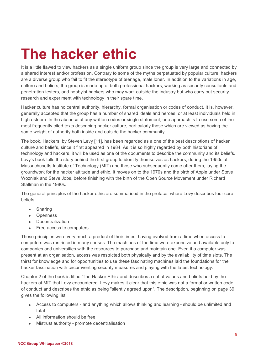# **The hacker ethic**

It is a little flawed to view hackers as a single uniform group since the group is very large and connected by a shared interest and/or profession. Contrary to some of the myths perpetuated by popular culture, hackers are a diverse group who fail to fit the stereotype of teenage, male loner. In addition to the variations in age, culture and beliefs, the group is made up of both professional hackers, working as security consultants and penetration testers, and hobbyist hackers who may work outside the industry but who carry out security research and experiment with technology in their spare time.

Hacker culture has no central authority, hierarchy, formal organisation or codes of conduct. It is, however, generally accepted that the group has a number of shared ideals and heroes, or at least individuals held in high esteem. In the absence of any written codes or single statement, one approach is to use some of the most frequently cited texts describing hacker culture, particularly those which are viewed as having the same weight of authority both inside and outside the hacker community.

The book, Hackers, by Steven Levy [11], has been regarded as a one of the best descriptions of hacker culture and beliefs, since it first appeared in 1984. As it is so highly regarded by both historians of technology and hackers, it will be used as one of the documents to describe the community and its beliefs. Levy's book tells the story behind the first group to identify themselves as hackers, during the 1950s at Massachusetts Institute of Technology (MIT) and those who subsequently came after them, laying the groundwork for the hacker attitude and ethic. It moves on to the 1970s and the birth of Apple under Steve Wozniak and Steve Jobs, before finishing with the birth of the Open Source Movement under Richard Stallman in the 1980s.

The general principles of the hacker ethic are summarised in the preface, where Levy describes four core beliefs:

- **Sharing**
- **Openness**
- Decentralization
- Free access to computers

These principles were very much a product of their times, having evolved from a time when access to computers was restricted in many senses. The machines of the time were expensive and available only to companies and universities with the resources to purchase and maintain one. Even if a computer was present at an organisation, access was restricted both physically and by the availability of time slots. The thirst for knowledge and for opportunities to use these fascinating machines laid the foundations for the hacker fascination with circumventing security measures and playing with the latest technology.

Chapter 2 of the book is titled 'The Hacker Ethic' and describes a set of values and beliefs held by the hackers at MIT that Levy encountered. Levy makes it clear that this ethic was not a formal or written code of conduct and describes the ethic as being "silently agreed upon". The description, beginning on page 39, gives the following list:

- Access to computers and anything which allows thinking and learning should be unlimited and total
- All information should be free
- Mistrust authority promote decentralisation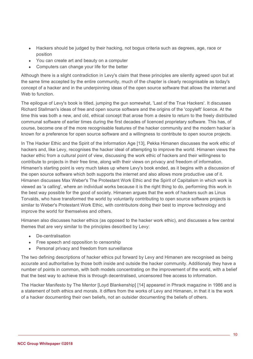- Hackers should be judged by their hacking, not bogus criteria such as degrees, age, race or position
- You can create art and beauty on a computer
- Computers can change your life for the better

Although there is a slight contradiction in Levy's claim that these principles are silently agreed upon but at the same time accepted by the entire community, much of the chapter is clearly recognisable as today's concept of a hacker and in the underpinning ideas of the open source software that allows the internet and Web to function.

The epilogue of Levy's book is titled, jumping the gun somewhat, 'Last of the True Hackers'. It discusses Richard Stallman's ideas of free and open source software and the origins of the 'copyleft' licence. At the time this was both a new, and old, ethical concept that arose from a desire to return to the freely distributed communal software of earlier times during the first decades of licenced proprietary software. This has, of course, become one of the more recognisable features of the hacker community and the modern hacker is known for a preference for open source software and a willingness to contribute to open source projects.

In The Hacker Ethic and the Spirit of the Information Age [13], Pekka Himanen discusses the work ethic of hackers and, like Levy, recognises the hacker ideal of attempting to improve the world. Himanen views the hacker ethic from a cultural point of view, discussing the work ethic of hackers and their willingness to contribute to projects in their free time, along with their views on privacy and freedom of information. Himanen's starting point is very much takes up where Levy's book ended, as it begins with a discussion of the open source software which both supports the internet and also allows more productive use of it. Himanen discusses Max Weber's The Protestant Work Ethic and the Spirit of Capitalism in which work is viewed as 'a calling', where an individual works because it is the right thing to do, performing this work in the best way possible for the good of society. Himanen argues that the work of hackers such as Linus Torvalds, who have transformed the world by voluntarily contributing to open source software projects is similar to Weber's Protestant Work Ethic, with contributors doing their best to improve technology and improve the world for themselves and others.

Himanen also discusses hacker ethics (as opposed to the hacker work ethic), and discusses a few central themes that are very similar to the principles described by Levy:

- De-centralisation
- Free speech and opposition to censorship
- Personal privacy and freedom from surveillance

The two defining descriptions of hacker ethics put forward by Levy and Himanen are recognised as being accurate and authoritative by those both inside and outside the hacker community. Additionaly they have a number of points in common, with both models concentrating on the improvement of the world, with a belief that the best way to achieve this is through decentralised, uncensored free access to information.

The Hacker Manifesto by The Mentor [Loyd Blankenship] [14] appeared in Phrack magazine in 1986 and is a statement of both ethics and morals. It differs from the works of Levy and Himanen, in that it is the work of a hacker documenting their own beliefs, not an outsider documenting the beliefs of others.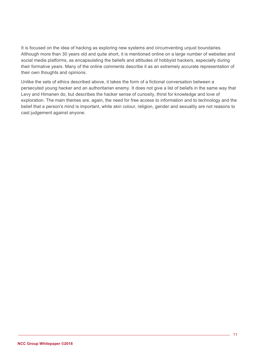It is focused on the idea of hacking as exploring new systems and circumventing unjust boundaries. Although more than 30 years old and quite short, it is mentioned online on a large number of websites and social media platforms, as encapsulating the beliefs and attitudes of hobbyist hackers, especially during their formative years. Many of the online comments describe it as an extremely accurate representation of their own thoughts and opinions.

Unlike the sets of ethics described above, it takes the form of a fictional conversation between a persecuted young hacker and an authoritarian enemy. It does not give a list of beliefs in the same way that Levy and Himanen do, but describes the hacker sense of curiosity, thirst for knowledge and love of exploration. The main themes are, again, the need for free access to information and to technology and the belief that a person's mind is important, while skin colour, religion, gender and sexuality are not reasons to cast judgement against anyone.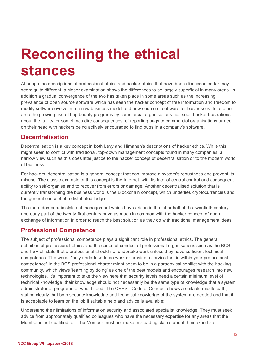## **Reconciling the ethical stances**

Although the descriptions of professional ethics and hacker ethics that have been discussed so far may seem quite different, a closer examination shows the differences to be largely superficial in many areas. In addition a gradual convergence of the two has taken place in some areas such as the increasing prevalence of open source software which has seen the hacker concept of free information and freedom to modify software evolve into a new business model and new source of software for businesses. In another area the growing use of bug bounty programs by commercial organisations has seen hacker frustrations about the futility, or sometimes dire consequences, of reporting bugs to commercial organisations turned on their head with hackers being actively encouraged to find bugs in a company's software.

### **Decentralisation**

Decentralisation is a key concept in both Levy and Himanen's descriptions of hacker ethics. While this might seem to conflict with traditional, top-down management concepts found in many companies, a narrow view such as this does little justice to the hacker concept of decentralisation or to the modern world of business.

For hackers, decentralisation is a general concept that can improve a system's robustness and prevent its misuse. The classic example of this concept is the Internet, with its lack of central control and consequent ability to self-organise and to recover from errors or damage. Another decentralised solution that is currently transforming the business world is the Blockchain concept, which underlies cryptocurrencies and the general concept of a distributed ledger.

The more democratic styles of management which have arisen in the latter half of the twentieth century and early part of the twenty-first century have as much in common with the hacker concept of open exchange of information in order to reach the best solution as they do with traditional management ideas.

### **Professional Competence**

The subject of professional competence plays a significant role in professional ethics. The general definition of professional ethics and the codes of conduct of professional organisations such as the BCS and IISP all state that a professional should not undertake work unless they have sufficient technical competence. The words "only undertake to do work or provide a service that is within your professional competence" in the BCS professional charter might seem to be in a paradoxical conflict with the hacking community, which views 'learning by doing' as one of the best models and encourages research into new technologies. It's important to take the view here that security levels need a certain minimum level of technical knowledge, their knowledge should not necessarily be the same type of knowledge that a system administrator or programmer would need. The CREST Code of Conduct shows a suitable middle path, stating clearly that both security knowledge and technical knowledge of the system are needed and that it is acceptable to learn on the job if suitable help and advice is available:

Understand their limitations of information security and associated specialist knowledge. They must seek advice from appropriately qualified colleagues who have the necessary expertise for any areas that the Member is not qualified for. The Member must not make misleading claims about their expertise.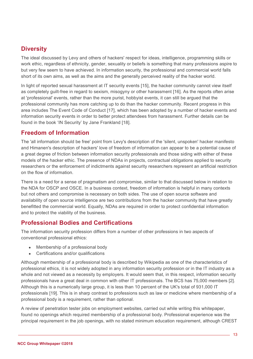### **Diversity**

The ideal discussed by Levy and others of hackers' respect for ideas, intelligence, programming skills or work ethic, regardless of ethnicity, gender, sexuality or beliefs is something that many professions aspire to but very few seem to have achieved. In information security, the professional and commercial world falls short of its own aims, as well as the aims and the generally perceived reality of the hacker world.

In light of reported sexual harassment at IT security events [15], the hacker community cannot view itself as completely guilt-free in regard to sexism, misogyny or other harassment [16]. As the reports often arise at 'professional' events, rather than the more purist, hobbyist events, it can still be argued that the professional community has more catching up to do than the hacker community. Recent progress in this area includes The Event Code of Conduct [17], which has been adopted by a number of hacker events and information security events in order to better protect attendees from harassment. Further details can be found in the book 'IN Security' by Jane Frankland [18].

### **Freedom of Information**

The 'all information should be free' point from Levy's description of the 'silent, unspoken' hacker manifesto and Himanen's description of hackers' love of freedom of information can appear to be a potential cause of a great degree of friction between information security professionals and those siding with either of these models of the hacker ethic. The presence of NDAs in projects, contractual obligations applied to security researchers or the enforcement of indictments against security researchers represent an artificial restriction on the flow of information.

There is a need for a sense of pragmatism and compromise, similar to that discussed below in relation to the NDA for OSCP and OSCE. In a business context, freedom of information is helpful in many contexts but not others and compromise is necessary on both sides. The use of open source software and availability of open source intelligence are two contributions from the hacker community that have greatly benefitted the commercial world. Equally, NDAs are required in order to protect confidential information and to protect the viability of the business.

### **Professional Bodies and Certifications**

The information security profession differs from a number of other professions in two aspects of conventional professional ethics:

- Membership of a professional body
- Certifications and/or qualifications

Although membership of a professional body is described by Wikipedia as one of the characteristics of professional ethics, it is not widely adopted in any information security profession or in the IT industry as a whole and not viewed as a necessity by employers. It would seem that, in this respect, information security professionals have a great deal in common with other IT professionals. The BCS has 75,000 members [2]. Although this is a numerically large group, it is less than 10 percent of the UK's total of 931,000 IT professionals [19]. This is in sharp contrast to professions such as law or medicine where membership of a professional body is a requirement, rather than optional.

A review of penetration tester jobs on employment websites, carried out while writing this whitepaper, found no openings which required membership of a professional body. Professional experience was the principal requirement in the job openings, with no stated minimum education requirement, although CREST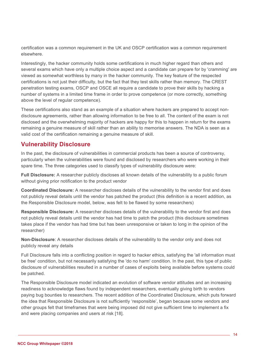certification was a common requirement in the UK and OSCP certification was a common requirement elsewhere.

Interestingly, the hacker community holds some certifications in much higher regard than others and several exams which have only a multiple choice aspect and a candidate can prepare for by 'cramming' are viewed as somewhat worthless by many in the hacker community. The key feature of the respected certifications is not just their difficulty, but the fact that they test skills rather than memory. The CREST penetration testing exams, OSCP and OSCE all require a candidate to prove their skills by hacking a number of systems in a limited time frame in order to prove competence (or more correctly, something above the level of regular competence).

These certifications also stand as an example of a situation where hackers are prepared to accept nondisclosure agreements, rather than allowing information to be free to all. The content of the exam is not disclosed and the overwhelming majority of hackers are happy for this to happen in return for the exams remaining a genuine measure of skill rather than an ability to memorise answers. The NDA is seen as a valid cost of the certification remaining a genuine measure of skill.

### **Vulnerability Disclosure**

In the past, the disclosure of vulnerabilities in commercial products has been a source of controversy, particularly when the vulnerabilities were found and disclosed by researchers who were working in their spare time. The three categories used to classify types of vulnerability disclosure were:

**Full Disclosure:** A researcher publicly discloses all known details of the vulnerability to a public forum without giving prior notification to the product vendor

**Coordinated Disclosure:** A researcher discloses details of the vulnerability to the vendor first and does not publicly reveal details until the vendor has patched the product (this definition is a recent addition, as the Responsible Disclosure model, below, was felt to be flawed by some researchers)

**Responsible Disclosure:** A researcher discloses details of the vulnerability to the vendor first and does not publicly reveal details until the vendor has had time to patch the product (this disclosure sometimes takes place if the vendor has had time but has been unresponsive or taken to long in the opinion of the researcher)

**Non-Disclosure**: A researcher discloses details of the vulnerability to the vendor only and does not publicly reveal any details

Full Disclosure falls into a conflicting position in regard to hacker ethics, satisfying the 'all information must be free' condition, but not necessarily satisfying the 'do no harm' condition. In the past, this type of public disclosure of vulnerabilities resulted in a number of cases of exploits being available before systems could be patched.

The Responsible Disclosure model indicated an evolution of software vendor attitudes and an increasing readiness to acknowledge flaws found by independent researchers, eventually giving birth to vendors paying bug bounties to researchers. The recent addition of the Coordinated Disclosure, which puts forward the idea that Responsible Disclosure is not sufficiently 'responsible', began because some vendors and other groups felt that timeframes that were being imposed did not give sufficient time to implement a fix and were placing companies and users at risk [18].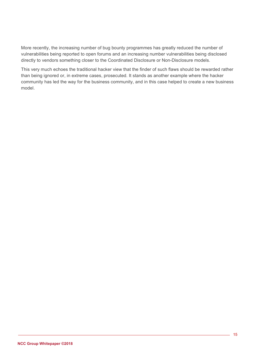More recently, the increasing number of bug bounty programmes has greatly reduced the number of vulnerabilities being reported to open forums and an increasing number vulnerabilities being disclosed directly to vendors something closer to the Coordinated Disclosure or Non-Disclosure models.

This very much echoes the traditional hacker view that the finder of such flaws should be rewarded rather than being ignored or, in extreme cases, prosecuted. It stands as another example where the hacker community has led the way for the business community, and in this case helped to create a new business model.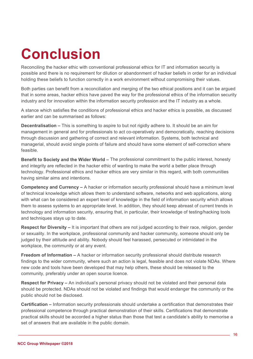# **Conclusion**

Reconciling the hacker ethic with conventional professional ethics for IT and information security is possible and there is no requirement for dilution or abandonment of hacker beliefs in order for an individual holding these beliefs to function correctly in a work environment without compromising their values.

Both parties can benefit from a reconciliation and merging of the two ethical positions and it can be argued that in some areas, hacker ethics have paved the way for the professional ethics of the information security industry and for innovation within the information security profession and the IT industry as a whole.

A stance which satisfies the conditions of professional ethics and hacker ethics is possible, as discussed earlier and can be summarised as follows:

**Decentralisation –** This is something to aspire to but not rigidly adhere to. It should be an aim for management in general and for professionals to act co-operatively and democratically, reaching decisions through discussion and gathering of correct and relevant information. Systems, both technical and managerial, should avoid single points of failure and should have some element of self-correction where feasible.

**Benefit to Society and the Wider World –** The professional commitment to the public interest, honesty and integrity are reflected in the hacker ethic of wanting to make the world a better place through technology. Professional ethics and hacker ethics are very similar in this regard, with both communities having similar aims and intentions.

**Competency and Currency –** A hacker or information security professional should have a minimum level of technical knowledge which allows them to understand software, networks and web applications, along with what can be considered an expert level of knowledge in the field of information security which allows them to assess systems to an appropriate level. In addition, they should keep abreast of current trends in technology and information security, ensuring that, in particular, their knowledge of testing/hacking tools and techniques stays up to date.

**Respect for Diversity –** It is important that others are not judged according to their race, religion, gender or sexuality. In the workplace, professional community and hacker community, someone should only be judged by their attitude and ability. Nobody should feel harassed, persecuted or intimidated in the workplace, the community or at any event.

**Freedom of Information –** A hacker or information security professional should distribute research findings to the wider community, where such an action is legal, feasible and does not violate NDAs. Where new code and tools have been developed that may help others, these should be released to the community, preferably under an open source licence.

**Respect for Privacy –** An individual's personal privacy should not be violated and their personal data should be protected. NDAs should not be violated and findings that would endanger the community or the public should not be disclosed.

**Certification –** Information security professionals should undertake a certification that demonstrates their professional competence through practical demonstration of their skills. Certifications that demonstrate practical skills should be accorded a higher status than those that test a candidate's ability to memorise a set of answers that are available in the public domain.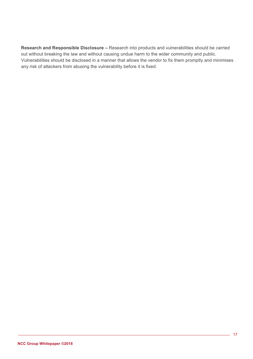**Research and Responsible Disclosure –** Research into products and vulnerabilities should be carried out without breaking the law and without causing undue harm to the wider community and public. Vulnerabilities should be disclosed in a manner that allows the vendor to fix them promptly and minimises any risk of attackers from abusing the vulnerability before it is fixed.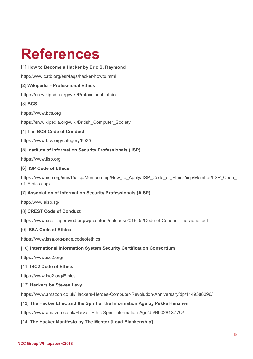## **References**

#### [1] **How to Become a Hacker by Eric S. Raymond**

http://www.catb.org/esr/faqs/hacker-howto.html

#### [2] **Wikipedia - Professional Ethics**

https://en.wikipedia.org/wiki/Professional\_ethics

#### [3] **BCS**

https://www.bcs.org

https://en.wikipedia.org/wiki/British\_Computer\_Society

#### [4] **The BCS Code of Conduct**

https://www.bcs.org/category/6030

#### [5] **Institute of Information Security Professionals (IISP)**

https://www.iisp.org

#### [6] **IISP Code of Ethics**

https://www.iisp.org/imis15/iisp/Membership/How\_to\_Apply/IISP\_Code\_of\_Ethics/iisp/Member/IISP\_Code of\_Ethics.aspx

#### [7] **Association of Information Security Professionals (AISP)**

http://www.aisp.sg/

#### [8] **CREST Code of Conduct**

https://www.crest-approved.org/wp-content/uploads/2016/05/Code-of-Conduct\_Individual.pdf

#### [9] **ISSA Code of Ethics**

https://www.issa.org/page/codeofethics

#### [10] **International Information System Security Certification Consortium**

https://www.isc2.org/

#### [11] **ISC2 Code of Ethics**

https://www.isc2.org/Ethics

#### [12] **Hackers by Steven Levy**

https://www.amazon.co.uk/Hackers-Heroes-Computer-Revolution-Anniversary/dp/1449388396/

#### [13] **The Hacker Ethic and the Spirit of the Information Age by Pekka Himanen**

https://www.amazon.co.uk/Hacker-Ethic-Spirit-Information-Age/dp/B00284XZ7Q/

#### [14] **The Hacker Manifesto by The Mentor [Loyd Blankenship]**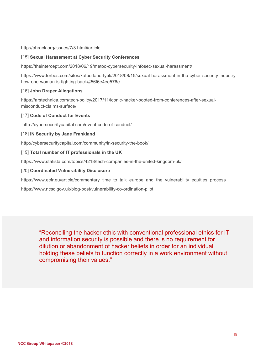http://phrack.org/issues/7/3.html#article

#### [15] **Sexual Harassment at Cyber Security Conferences**

https://theintercept.com/2018/06/19/metoo-cybersecurity-infosec-sexual-harassment/

https://www.forbes.com/sites/kateoflahertyuk/2018/08/15/sexual-harassment-in-the-cyber-security-industryhow-one-woman-is-fighting-back/#56f6e4ee576e

#### [16] **John Draper Allegations**

https://arstechnica.com/tech-policy/2017/11/iconic-hacker-booted-from-conferences-after-sexualmisconduct-claims-surface/

#### [17] **Code of Conduct for Events**

http://cybersecuritycapital.com/event-code-of-conduct/

#### [18] **IN Security by Jane Frankland**

http://cybersecuritycapital.com/community/in-security-the-book/

#### [19] **Total number of IT professionals in the UK**

https://www.statista.com/topics/4218/tech-companies-in-the-united-kingdom-uk/

#### [20] **Coordinated Vulnerability Disclosure**

https://www.ecfr.eu/article/commentary\_time\_to\_talk\_europe\_and\_the\_vulnerability\_equities\_process

https://www.ncsc.gov.uk/blog-post/vulnerability-co-ordination-pilot

<span id="page-18-0"></span>"Reconciling the hacker ethic with conventional professional ethics for IT and information security is possible and there is no requirement for dilution or abandonment of hacker beliefs in order for an individual holding these beliefs to function correctly in a work environment without compromising their values."